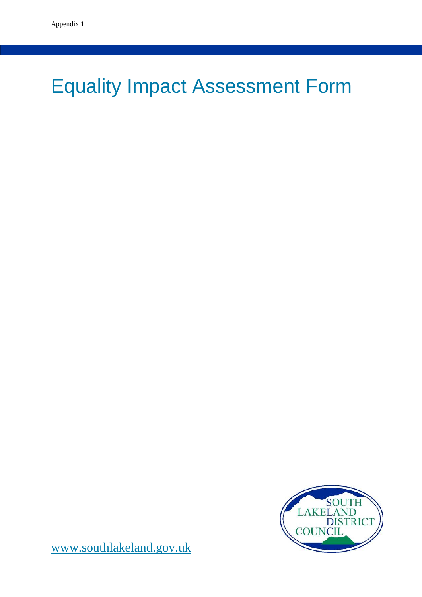# Equality Impact Assessment Form



[www.southlakeland.gov.uk](http://www.southlakeland.gov.uk/)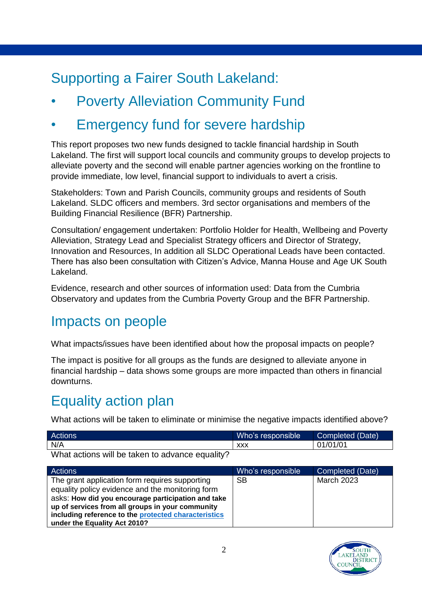## Supporting a Fairer South Lakeland:

- **Poverty Alleviation Community Fund**
- **Emergency fund for severe hardship**

This report proposes two new funds designed to tackle financial hardship in South Lakeland. The first will support local councils and community groups to develop projects to alleviate poverty and the second will enable partner agencies working on the frontline to provide immediate, low level, financial support to individuals to avert a crisis.

Stakeholders: Town and Parish Councils, community groups and residents of South Lakeland. SLDC officers and members. 3rd sector organisations and members of the Building Financial Resilience (BFR) Partnership.

Consultation/ engagement undertaken: Portfolio Holder for Health, Wellbeing and Poverty Alleviation, Strategy Lead and Specialist Strategy officers and Director of Strategy, Innovation and Resources, In addition all SLDC Operational Leads have been contacted. There has also been consultation with Citizen's Advice, Manna House and Age UK South Lakeland.

Evidence, research and other sources of information used: Data from the Cumbria Observatory and updates from the Cumbria Poverty Group and the BFR Partnership.

#### Impacts on people

What impacts/issues have been identified about how the proposal impacts on people?

The impact is positive for all groups as the funds are designed to alleviate anyone in financial hardship – data shows some groups are more impacted than others in financial downturns.

## Equality action plan

What actions will be taken to eliminate or minimise the negative impacts identified above?

| Actions                                                       | Who's responsible | Completed (Date) |
|---------------------------------------------------------------|-------------------|------------------|
| N/A                                                           | XXX               | 01/01/01         |
| $Mhat$ of inner setting of notation to a superior to $\Omega$ |                   |                  |

What actions will be taken to advance equality?

| Actions                                              | Who's responsible | Completed (Date)  |
|------------------------------------------------------|-------------------|-------------------|
| The grant application form requires supporting       | <b>SB</b>         | <b>March 2023</b> |
| equality policy evidence and the monitoring form     |                   |                   |
| asks: How did you encourage participation and take   |                   |                   |
| up of services from all groups in your community     |                   |                   |
| including reference to the protected characteristics |                   |                   |
| under the Equality Act 2010?                         |                   |                   |

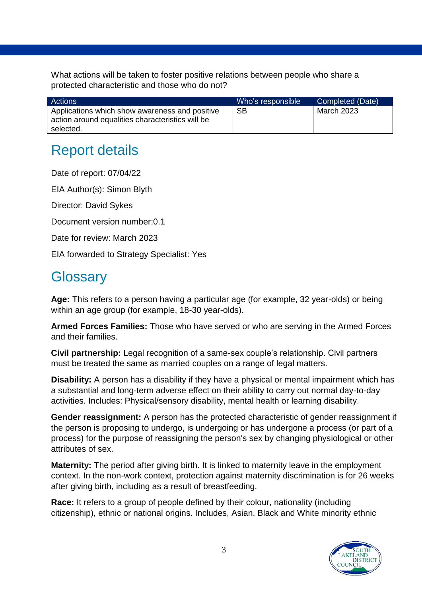What actions will be taken to foster positive relations between people who share a protected characteristic and those who do not?

| Actions                                                                                                         | Who's responsible | Completed (Date) |
|-----------------------------------------------------------------------------------------------------------------|-------------------|------------------|
| Applications which show awareness and positive<br>action around equalities characteristics will be<br>selected. | SВ                | March 2023       |

## Report details

Date of report: 07/04/22

EIA Author(s): Simon Blyth

Director: David Sykes

Document version number:0.1

Date for review: March 2023

EIA forwarded to Strategy Specialist: Yes

#### **Glossary**

**Age:** This refers to a person having a particular age (for example, 32 year-olds) or being within an age group (for example, 18-30 year-olds).

**Armed Forces Families:** Those who have served or who are serving in the Armed Forces and their families.

**Civil partnership:** Legal recognition of a same-sex couple's relationship. Civil partners must be treated the same as married couples on a range of legal matters.

**Disability:** A person has a disability if they have a physical or mental impairment which has a substantial and long-term adverse effect on their ability to carry out normal day-to-day activities. Includes: Physical/sensory disability, mental health or learning disability.

**Gender reassignment:** A person has the protected characteristic of gender reassignment if the person is proposing to undergo, is undergoing or has undergone a process (or part of a process) for the purpose of reassigning the person's sex by changing physiological or other attributes of sex.

**Maternity:** The period after giving birth. It is linked to maternity leave in the employment context. In the non-work context, protection against maternity discrimination is for 26 weeks after giving birth, including as a result of breastfeeding.

**Race:** It refers to a group of people defined by their colour, nationality (including citizenship), ethnic or national origins. Includes, Asian, Black and White minority ethnic